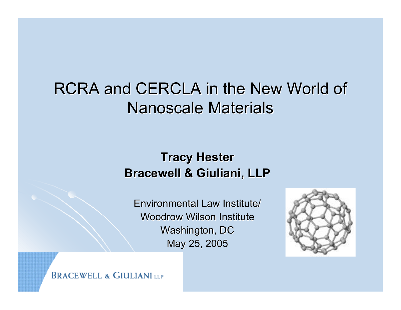#### RCRA and CERCLA in the New World of Nanoscale Materials

#### **Tracy Hester Bracewell & Giuliani, LLP Bracewell & Giuliani, LLP**

Environmental Law Institute/ Woodrow Wilson Institute Washington, DC May 25, 2005



**BRACEWELL & GIULIANI LLP**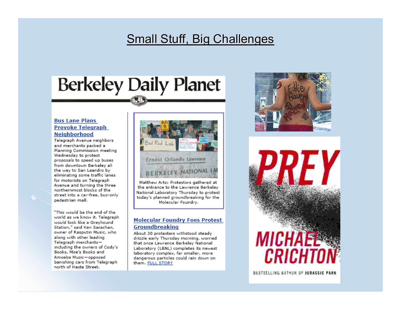#### Small Stuff, Big Challenges

# **Berkeley Daily Planet**

#### **Bus Lane Plans Provoke Telegraph Neighborhood**

Telegraph Avenue neighbors and merchants packed a Planning Commission meeting Wednesday to protest proposals to speed up buses from downtown Berkelev all the way to San Leandro by eliminating some traffic lanes for motorists on Telegraph Avenue and turning the three northernmost blocks of the street into a car-free, bus-only pedestrian mall.

"This would be the end of the world as we know it. Telegraph would look like a Greyhound Station," said Ken Sarachan, owner of Rasputin Music, who along with other leading Telegraph merchantsincluding the owners of Cody's Books, Moe's Books and Amoeba Music-opposed banishing cars from Telegraph north of Haste Street.



the entrance to the Lawrence Berkeley Naitonal Laboratory Thursday to protest today's planned groundbreaking for the Molecular Foundry.

#### **Molecular Foundry Foes Protest** Groundbreaking

About 30 protesters withstood steady drizzle early Thursday morning, worried that once Lawrence Berkeley National Laboratory (LBNL) completes its newest laboratory complex, far smaller, more dangerous particles could rain down on them. FULL STORY





BESTSELLING AUTHOR OF JURASSIC PARK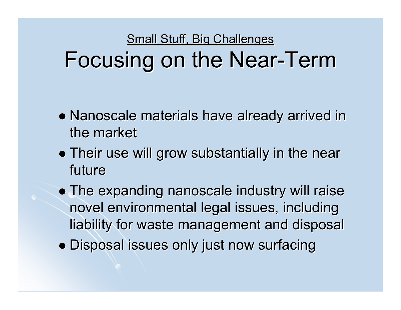Small Stuff, Big Challenges Focusing on the Near-Term

- $\bullet$  Nanoscale materials have already arrived in the market
- Their use will grow substantially in the near future
- The expanding nanoscale industry will raise novel environmental legal issues, including liability for waste management and disposal
- Disposal issues only just now surfacing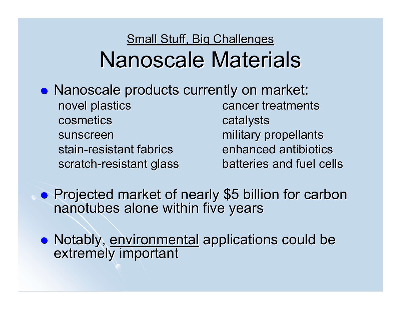#### Small Stuff, Big Challenges Nanoscale Materials

**• Nanoscale products currently on market:** novel plastics and cancer treatments cosmetics catalysts sunscreen military propellants stain-resistant fabrics enhanced antibiotics scratch batteries and fuel cells

 $\bullet$ **• Projected market of nearly \$5 billion for carbon nanotubes alone within five years** 

• Notably, environmental applications could be extremely important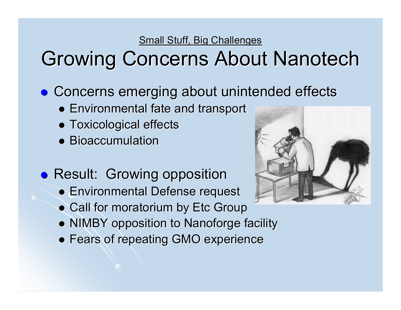**Small Stuff, Big Challenges** 

## Growing Concerns About Nanotech

- **Concerns emerging about unintended effects** 
	- **Environmental fate and transport**
	- Toxicological effects
	- Bioaccumulation
- **Result: Growing opposition** 
	- **Environmental Defense request**
	- Call for moratorium by Etc Group
	- NIMBY opposition to Nanoforge facility
	- **Fears of repeating GMO experience**

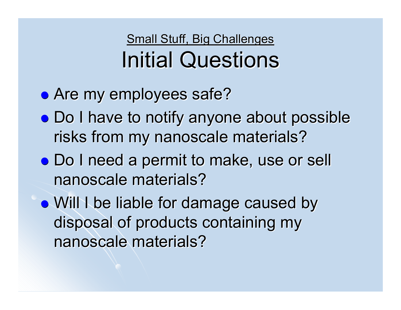#### Small Stuff, Big Challenges **Initial Questions**

- Are my employees safe?
- Do I have to notify anyone about possible risks from my nanoscale materials?
- Do I need a permit to make, use or sell nanoscale materials?

• Will I be liable for damage caused by disposal of products containing my nanoscale materials?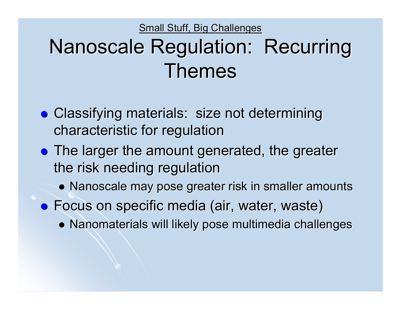Small Stuff, Big Challenges

# Nanoscale Regulation: Recurring Themes

- Classifying materials: size not determining characteristic for regulation characteristic for regulation
- The larger the amount generated, the greater the risk needing regulation
	- Nanoscale may pose greater risk in smaller amounts
- **•** Focus on specific media (air, water, waste)
	- $\bullet$  Nanomaterials will likely pose multimedia challenges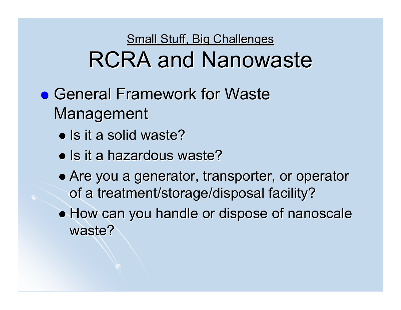- **General Framework for Waste** Management
	- Is it a solid waste?
	- Is it a hazardous waste?
	- Are you a generator, transporter, or operator of a treatment/storage/disposal facility?
	- $\bullet$  How can you handle or dispose of nanoscale waste?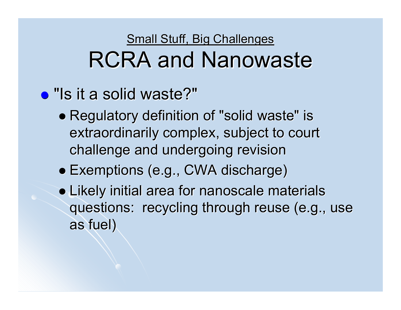- "Is it a solid waste?"
	- Regulatory definition of "solid waste" is extraordinarily complex, subject to court challenge and undergoing revision challenge and undergoing revision
	- z Exemptions (e.g., CWA discharge) Exemptions (e.g., CWA discharge)
	- Likely initial area for nanoscale materials questions: recycling through reuse (e.g., use as fuel) as fuel)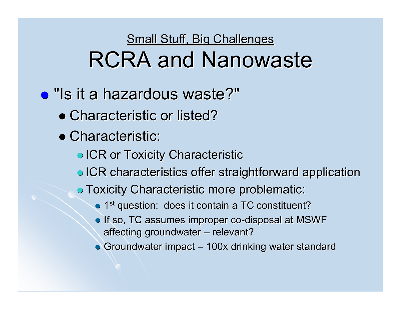#### • "Is it a hazardous waste?"

- Characteristic or listed?
- Characteristic:
	- **ICR or Toxicity Characteristic**
	- **ICR characteristics offer straightforward application**
	- **Toxicity Characteristic more problematic:** 
		- 1<sup>st</sup> question: does it contain a TC constituent?
		- $\bullet$  If so, TC assumes improper co-disposal at MSWF affecting groundwater  $\cdot$ – relevant?
		- $\bullet$  Groundwater impact –– 100x drinking water standard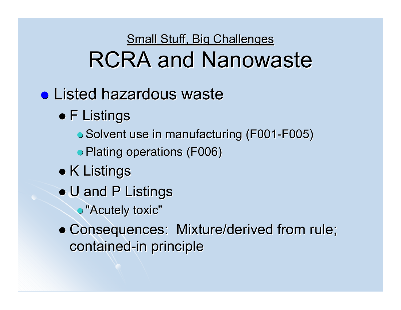- **Listed hazardous waste** 
	- $\bullet$  F Listings
		- Solvent use in manufacturing (F001-F005)
		- Plating operations (F006)
	- $\bullet$  K Listings
	- U and P Listings
		- $\bullet$  "Acutely toxic"
	- Consequences: Mixture/derived from rule; contained-in principle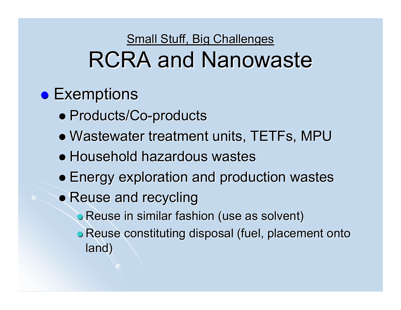#### $\bullet$  Exemptions

- Products/Co-products
- Wastewater treatment units, TETFs, MPU
- Household hazardous wastes
- **Energy exploration and production wastes**
- Reuse and recycling
	- $\bullet$  Reuse in similar fashion (use as solvent)
	- **Reuse constituting disposal (fuel, placement onto** land)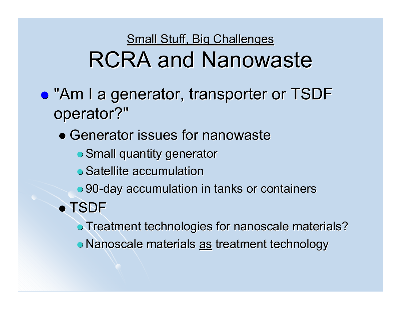- **"Am I a generator, transporter or TSDF** operator?"
	- Generator issues for nanowaste
		- **Small quantity generator** Small quantity generator
		- $\bullet$  Satellite accumulation
		- 90-day accumulation in tanks or containers

#### • TSDF

- **Treatment technologies for nanoscale materials?**
- **Nanoscale materials <u>as</u> treatment technology**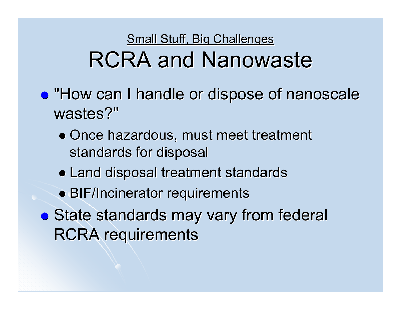- **"How can I handle or dispose of nanoscale** wastes?"
	- Once hazardous, must meet treatment standards for disposal
	- Land disposal treatment standards
	- BIF/Incinerator requirements
- State standards may vary from federal **RCRA requirements**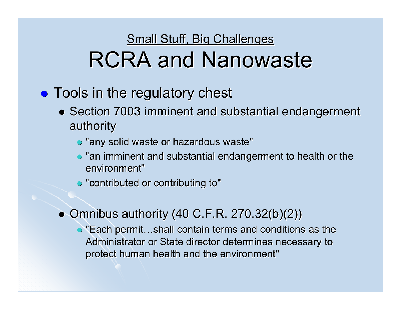- $\bullet$  Tools in the regulatory chest
	- Section 7003 imminent and substantial endangerment authority authority
		- $\bullet$  "any solid waste or hazardous waste"
		- $\bullet$  "an imminent and substantial endangerment to health or the environment"
		- $\bullet$  "contributed or contributing to"
	- $\bullet$  Omnibus authority (40 C.F.R. 270.32(b)(2))
		- $\bullet$  "Each permit...shall contain terms and conditions as the Administrator or State director determines necessary to protect human health and the environment"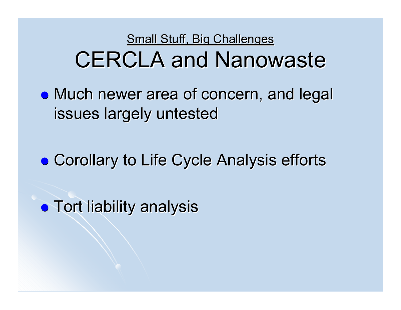• Much newer area of concern, and legal issues largely untested

**• Corollary to Life Cycle Analysis efforts** 

 $\bullet$  Tort liability analysis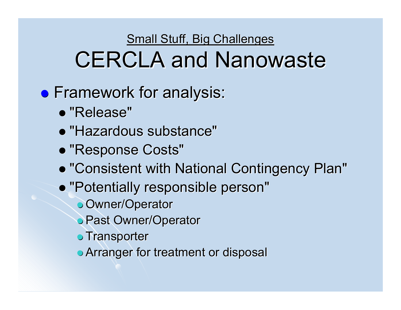- **Framework for analysis:** 
	- "Release"
	- "Hazardous substance"
	- **"Response Costs"**
	- z "Consistent with National Contingency Plan" "Consistent with National Contingency Plan"
	- "Potentially responsible person"
		- **J** Owner/Operator
		- **Past Owner/Operator**
		- $\bullet$  Transporter
		- **Arranger for treatment or disposal**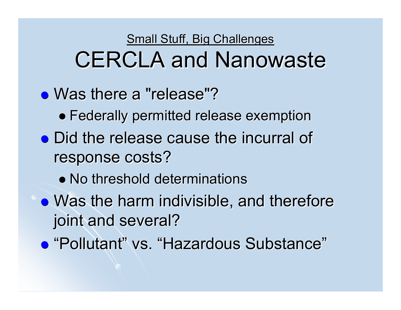- Was there a "release"?
	- $\bullet$  Federally permitted release exemption
- Did the release cause the incurral of response costs?
	- No threshold determinations
- $\bullet$  Was the harm indivisible, and therefore joint and several?
- "Pollutant" vs. "Hazardous Substance"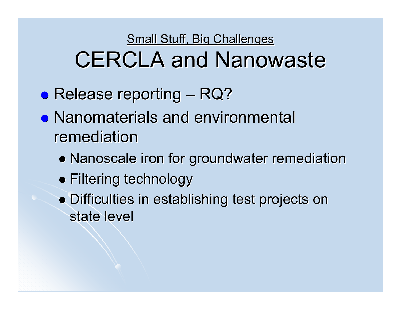- **Release reporting** –– RQ?
- Nanomaterials and environmental remediation
	- Nanoscale iron for groundwater remediation
	- Filtering technology
	- Difficulties in establishing test projects on state level